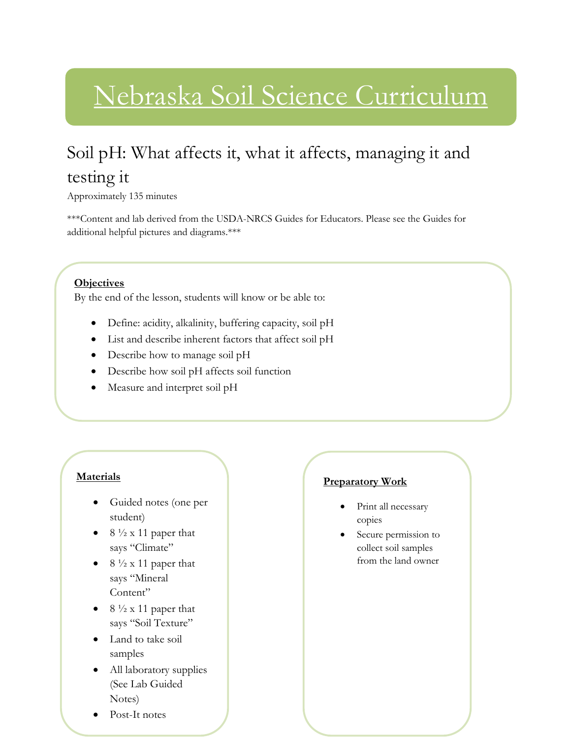## Nebraska Soil Science Curriculum

## Soil pH: What affects it, what it affects, managing it and testing it

Approximately 135 minutes

\*\*\*Content and lab derived from the USDA-NRCS Guides for Educators. Please see the Guides for additional helpful pictures and diagrams.\*\*\*

## **Objectives**

By the end of the lesson, students will know or be able to:

- Define: acidity, alkalinity, buffering capacity, soil pH
- List and describe inherent factors that affect soil pH
- Describe how to manage soil pH
- Describe how soil pH affects soil function
- Measure and interpret soil pH

## **Materials**

- Guided notes (one per student)
- $8\frac{1}{2}$  x 11 paper that says "Climate"
- $8\frac{1}{2}$  x 11 paper that says "Mineral Content"
- $\bullet$  8  $\frac{1}{2}$  x 11 paper that says "Soil Texture"
- Land to take soil samples
- All laboratory supplies (See Lab Guided Notes)
- Post-It notes

## **Preparatory Work**

- Print all necessary copies
- Secure permission to collect soil samples from the land owner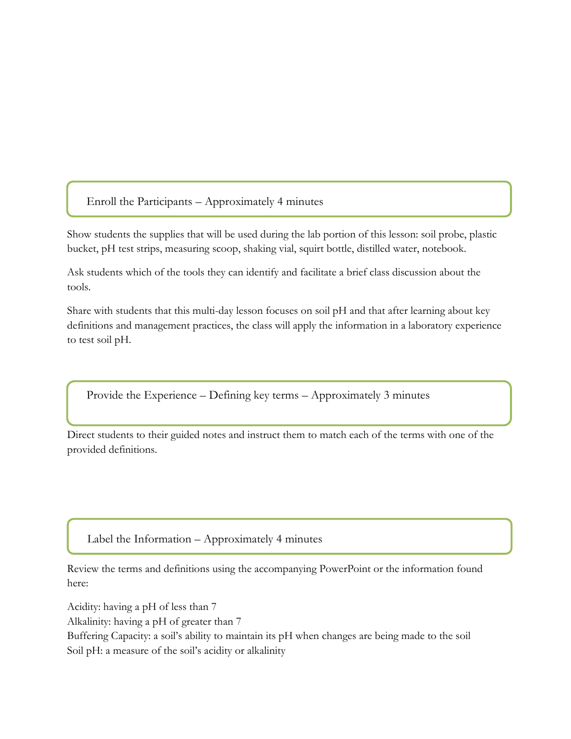Enroll the Participants – Approximately 4 minutes

l

Show students the supplies that will be used during the lab portion of this lesson: soil probe, plastic bucket, pH test strips, measuring scoop, shaking vial, squirt bottle, distilled water, notebook.

Ask students which of the tools they can identify and facilitate a brief class discussion about the tools.

Share with students that this multi-day lesson focuses on soil pH and that after learning about key definitions and management practices, the class will apply the information in a laboratory experience to test soil pH.

Provide the Experience – Defining key terms – Approximately 3 minutes

Direct students to their guided notes and instruct them to match each of the terms with one of the provided definitions.

Label the Information – Approximately 4 minutes

Review the terms and definitions using the accompanying PowerPoint or the information found here:

Acidity: having a pH of less than 7

Alkalinity: having a pH of greater than 7

Buffering Capacity: a soil's ability to maintain its pH when changes are being made to the soil Soil pH: a measure of the soil's acidity or alkalinity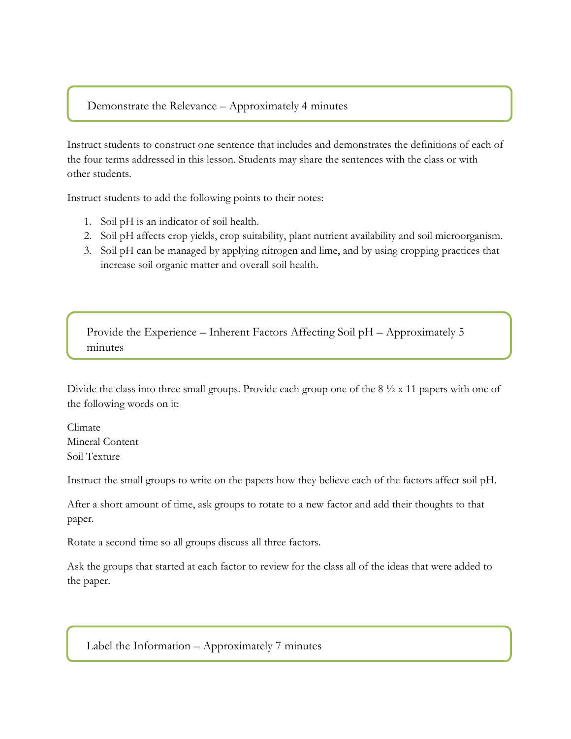#### Demonstrate the Relevance – Approximately 4 minutes

Instruct students to construct one sentence that includes and demonstrates the definitions of each of the four terms addressed in this lesson. Students may share the sentences with the class or with other students.

Instruct students to add the following points to their notes:

- 1. Soil pH is an indicator of soil health.
- 2. Soil pH affects crop yields, crop suitability, plant nutrient availability and soil microorganism.
- 3. Soil pH can be managed by applying nitrogen and lime, and by using cropping practices that increase soil organic matter and overall soil health.

Provide the Experience – Inherent Factors Affecting Soil pH – Approximately 5 minutes

Divide the class into three small groups. Provide each group one of the 8  $\frac{1}{2}$  x 11 papers with one of the following words on it:

Climate Mineral Content Soil Texture

Instruct the small groups to write on the papers how they believe each of the factors affect soil pH.

After a short amount of time, ask groups to rotate to a new factor and add their thoughts to that paper.

Rotate a second time so all groups discuss all three factors.

Ask the groups that started at each factor to review for the class all of the ideas that were added to the paper.

Label the Information – Approximately 7 minutes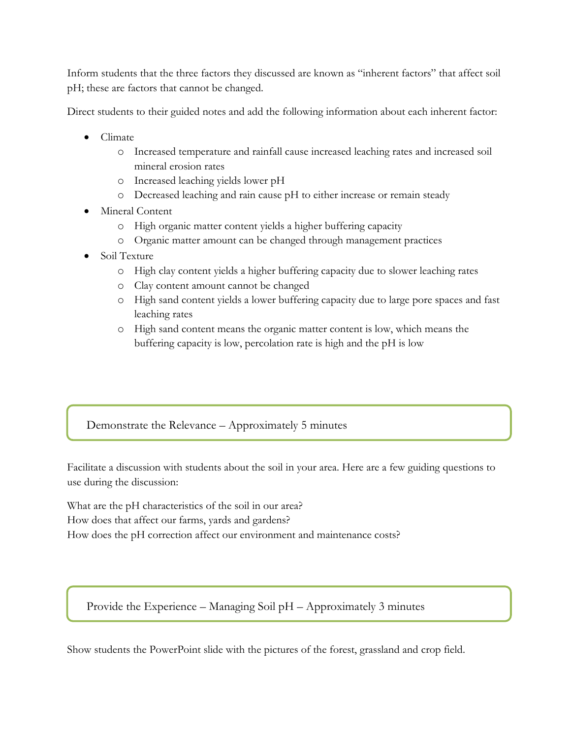Inform students that the three factors they discussed are known as "inherent factors" that affect soil pH; these are factors that cannot be changed.

Direct students to their guided notes and add the following information about each inherent factor:

- Climate
	- o Increased temperature and rainfall cause increased leaching rates and increased soil mineral erosion rates
	- o Increased leaching yields lower pH
	- o Decreased leaching and rain cause pH to either increase or remain steady
- Mineral Content
	- o High organic matter content yields a higher buffering capacity
	- o Organic matter amount can be changed through management practices
- Soil Texture
	- o High clay content yields a higher buffering capacity due to slower leaching rates
	- o Clay content amount cannot be changed
	- o High sand content yields a lower buffering capacity due to large pore spaces and fast leaching rates
	- o High sand content means the organic matter content is low, which means the buffering capacity is low, percolation rate is high and the pH is low

## Demonstrate the Relevance – Approximately 5 minutes

Facilitate a discussion with students about the soil in your area. Here are a few guiding questions to use during the discussion:

What are the pH characteristics of the soil in our area? How does that affect our farms, yards and gardens? How does the pH correction affect our environment and maintenance costs?

Provide the Experience – Managing Soil pH – Approximately 3 minutes

Show students the PowerPoint slide with the pictures of the forest, grassland and crop field.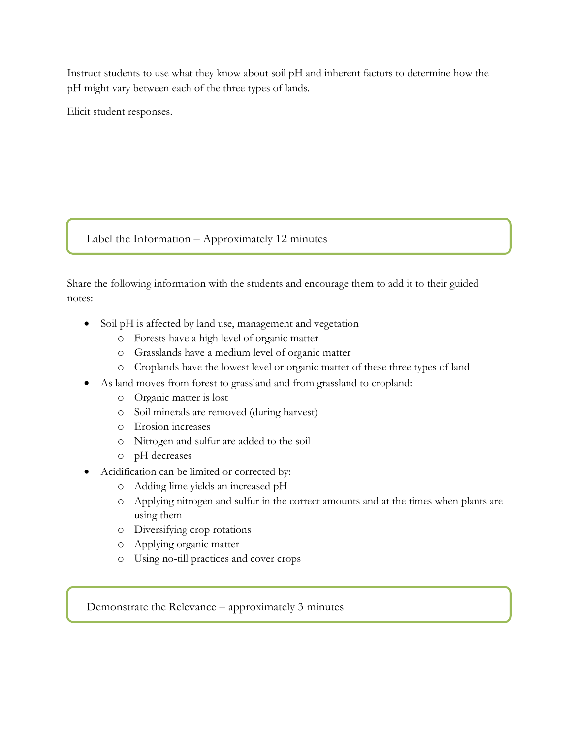Instruct students to use what they know about soil pH and inherent factors to determine how the pH might vary between each of the three types of lands.

Elicit student responses.

## Label the Information – Approximately 12 minutes

Share the following information with the students and encourage them to add it to their guided notes:

- Soil pH is affected by land use, management and vegetation
	- o Forests have a high level of organic matter
	- o Grasslands have a medium level of organic matter
	- o Croplands have the lowest level or organic matter of these three types of land
- As land moves from forest to grassland and from grassland to cropland:
	- o Organic matter is lost
	- o Soil minerals are removed (during harvest)
	- o Erosion increases
	- o Nitrogen and sulfur are added to the soil
	- o pH decreases
- Acidification can be limited or corrected by:
	- o Adding lime yields an increased pH
	- o Applying nitrogen and sulfur in the correct amounts and at the times when plants are using them
	- o Diversifying crop rotations
	- o Applying organic matter
	- o Using no-till practices and cover crops

Demonstrate the Relevance – approximately 3 minutes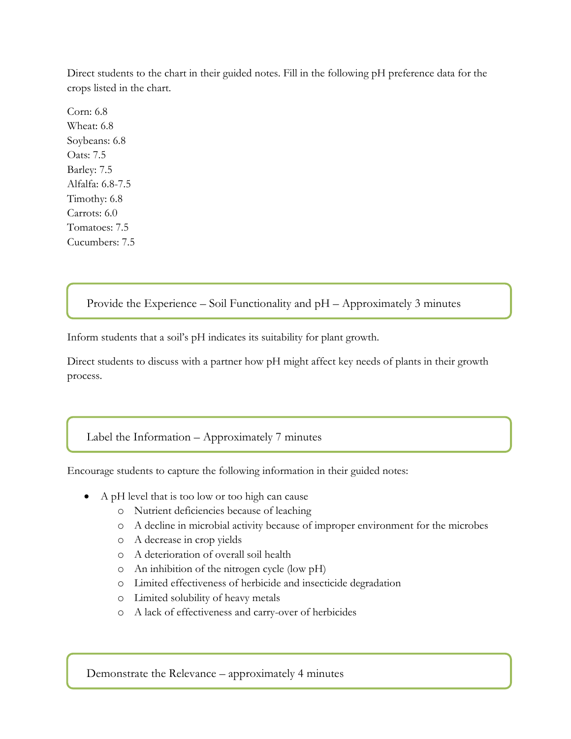Direct students to the chart in their guided notes. Fill in the following pH preference data for the crops listed in the chart.

Corn: 6.8 Wheat: 6.8 Soybeans: 6.8 Oats: 7.5 Barley: 7.5 Alfalfa: 6.8-7.5 Timothy: 6.8 Carrots: 6.0 Tomatoes: 7.5 Cucumbers: 7.5

Provide the Experience – Soil Functionality and pH – Approximately 3 minutes

Inform students that a soil's pH indicates its suitability for plant growth.

Direct students to discuss with a partner how pH might affect key needs of plants in their growth process.

Label the Information – Approximately 7 minutes

Encourage students to capture the following information in their guided notes:

- A pH level that is too low or too high can cause
	- o Nutrient deficiencies because of leaching
	- o A decline in microbial activity because of improper environment for the microbes
	- o A decrease in crop yields
	- o A deterioration of overall soil health
	- o An inhibition of the nitrogen cycle (low pH)
	- o Limited effectiveness of herbicide and insecticide degradation
	- o Limited solubility of heavy metals
	- o A lack of effectiveness and carry-over of herbicides

Demonstrate the Relevance – approximately 4 minutes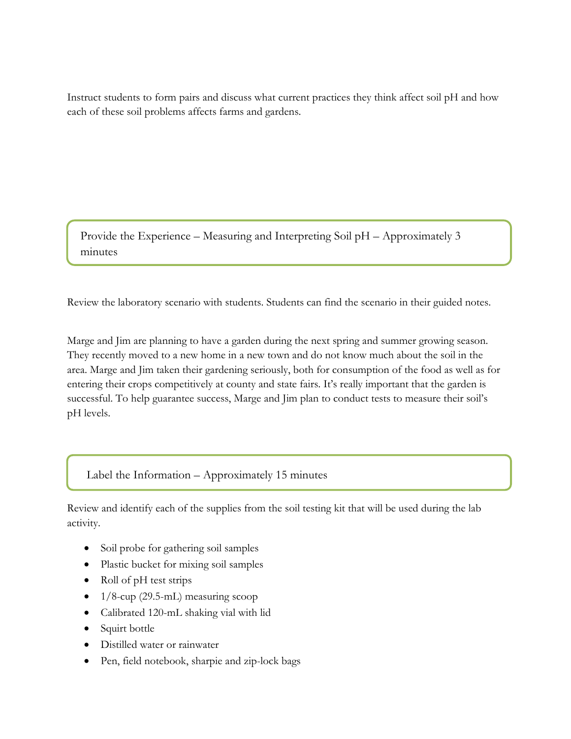Instruct students to form pairs and discuss what current practices they think affect soil pH and how each of these soil problems affects farms and gardens.

Provide the Experience – Measuring and Interpreting Soil pH – Approximately 3 minutes

Review the laboratory scenario with students. Students can find the scenario in their guided notes.

Marge and Jim are planning to have a garden during the next spring and summer growing season. They recently moved to a new home in a new town and do not know much about the soil in the area. Marge and Jim taken their gardening seriously, both for consumption of the food as well as for entering their crops competitively at county and state fairs. It's really important that the garden is successful. To help guarantee success, Marge and Jim plan to conduct tests to measure their soil's pH levels.

Label the Information – Approximately 15 minutes

Review and identify each of the supplies from the soil testing kit that will be used during the lab activity.

- Soil probe for gathering soil samples
- Plastic bucket for mixing soil samples
- Roll of pH test strips
- $\bullet$  1/8-cup (29.5-mL) measuring scoop
- Calibrated 120-mL shaking vial with lid
- Squirt bottle
- Distilled water or rainwater
- Pen, field notebook, sharpie and zip-lock bags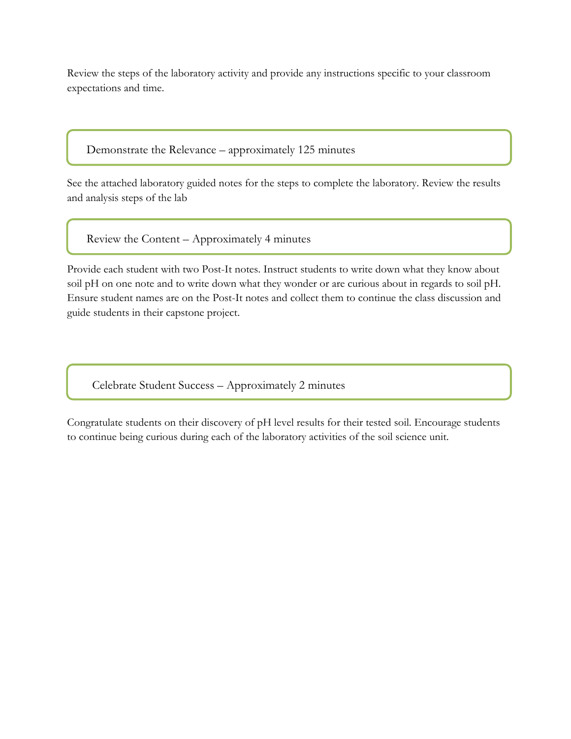Review the steps of the laboratory activity and provide any instructions specific to your classroom expectations and time.

Demonstrate the Relevance – approximately 125 minutes

See the attached laboratory guided notes for the steps to complete the laboratory. Review the results and analysis steps of the lab

Review the Content – Approximately 4 minutes

Provide each student with two Post-It notes. Instruct students to write down what they know about soil pH on one note and to write down what they wonder or are curious about in regards to soil pH. Ensure student names are on the Post-It notes and collect them to continue the class discussion and guide students in their capstone project.

Celebrate Student Success – Approximately 2 minutes

Congratulate students on their discovery of pH level results for their tested soil. Encourage students to continue being curious during each of the laboratory activities of the soil science unit.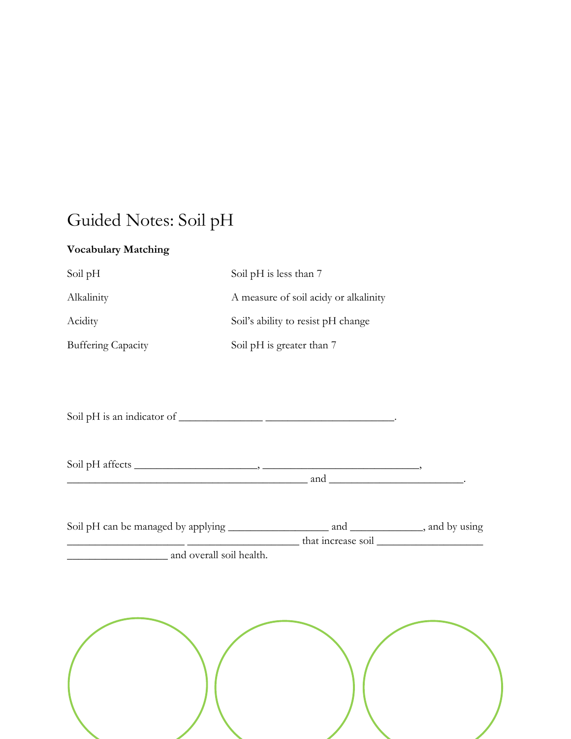## Guided Notes: Soil pH

## **Vocabulary Matching**

| Soil pH                   | Soil pH is less than 7                |
|---------------------------|---------------------------------------|
| Alkalinity                | A measure of soil acidy or alkalinity |
| Acidity                   | Soil's ability to resist pH change    |
| <b>Buffering Capacity</b> | Soil pH is greater than 7             |

Soil pH is an indicator of \_\_\_\_\_\_\_\_\_\_\_\_\_\_\_ \_\_\_\_\_\_\_\_\_\_\_\_\_\_\_\_\_\_\_\_\_\_\_.

 $Soil$  pH affects  $\_\_\_\_\_\_\_\_$  $\qquad \qquad \text{and} \qquad \qquad \qquad \qquad \qquad \qquad \qquad \text{and} \qquad \qquad \qquad \text{and}$ 

| Soil pH can be managed by applying | and                | , and by using |
|------------------------------------|--------------------|----------------|
|                                    | that increase soil |                |
| and overall soil health.           |                    |                |

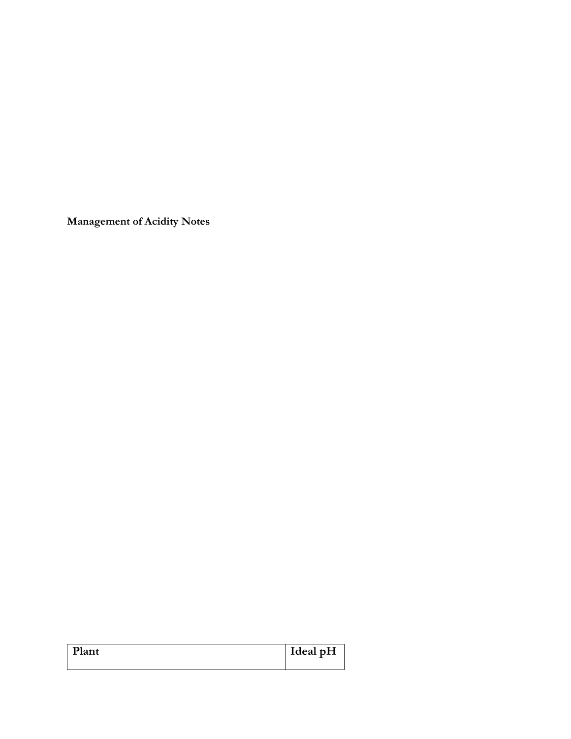**Management of Acidity Notes**

| Plant | Ideal pH |
|-------|----------|
|       |          |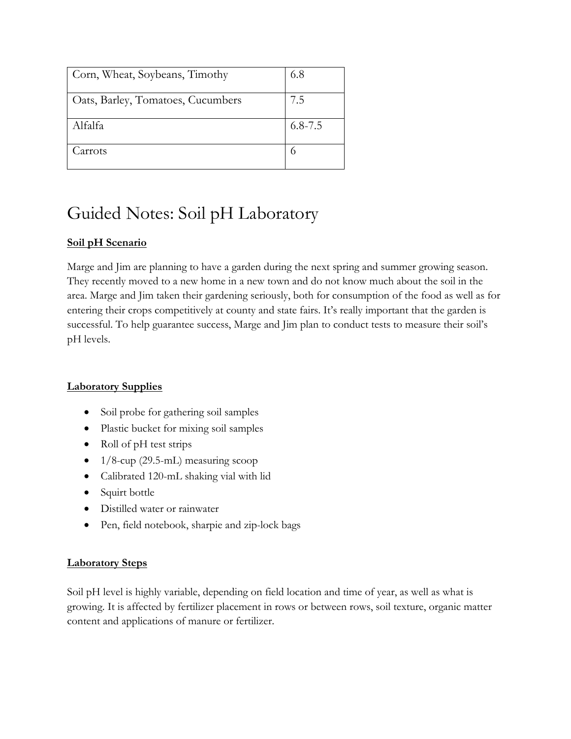| Corn, Wheat, Soybeans, Timothy    | 6.8         |
|-----------------------------------|-------------|
| Oats, Barley, Tomatoes, Cucumbers | 7.5         |
| Alfalfa                           | $6.8 - 7.5$ |
| Carrots                           |             |

## Guided Notes: Soil pH Laboratory

## **Soil pH Scenario**

Marge and Jim are planning to have a garden during the next spring and summer growing season. They recently moved to a new home in a new town and do not know much about the soil in the area. Marge and Jim taken their gardening seriously, both for consumption of the food as well as for entering their crops competitively at county and state fairs. It's really important that the garden is successful. To help guarantee success, Marge and Jim plan to conduct tests to measure their soil's pH levels.

## **Laboratory Supplies**

- Soil probe for gathering soil samples
- Plastic bucket for mixing soil samples
- Roll of pH test strips
- $\bullet$  1/8-cup (29.5-mL) measuring scoop
- Calibrated 120-mL shaking vial with lid
- Squirt bottle
- Distilled water or rainwater
- Pen, field notebook, sharpie and zip-lock bags

## **Laboratory Steps**

Soil pH level is highly variable, depending on field location and time of year, as well as what is growing. It is affected by fertilizer placement in rows or between rows, soil texture, organic matter content and applications of manure or fertilizer.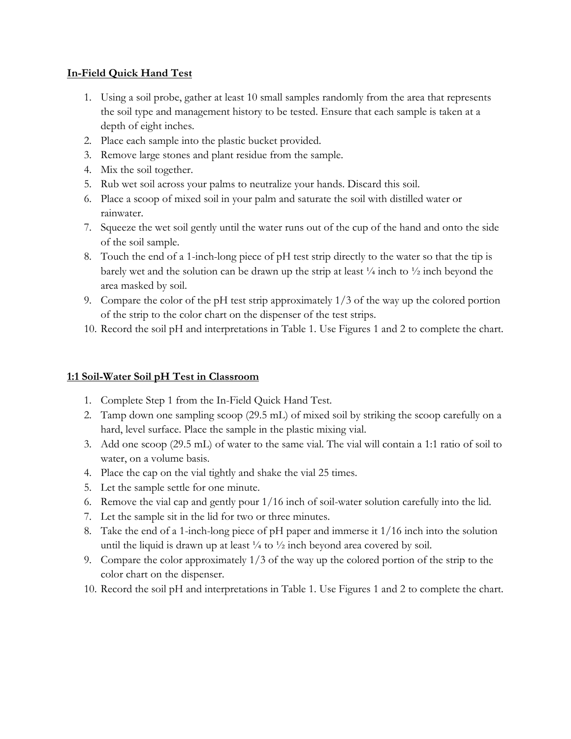#### **In-Field Quick Hand Test**

- 1. Using a soil probe, gather at least 10 small samples randomly from the area that represents the soil type and management history to be tested. Ensure that each sample is taken at a depth of eight inches.
- 2. Place each sample into the plastic bucket provided.
- 3. Remove large stones and plant residue from the sample.
- 4. Mix the soil together.
- 5. Rub wet soil across your palms to neutralize your hands. Discard this soil.
- 6. Place a scoop of mixed soil in your palm and saturate the soil with distilled water or rainwater.
- 7. Squeeze the wet soil gently until the water runs out of the cup of the hand and onto the side of the soil sample.
- 8. Touch the end of a 1-inch-long piece of pH test strip directly to the water so that the tip is barely wet and the solution can be drawn up the strip at least  $\frac{1}{4}$  inch to  $\frac{1}{2}$  inch beyond the area masked by soil.
- 9. Compare the color of the pH test strip approximately 1/3 of the way up the colored portion of the strip to the color chart on the dispenser of the test strips.
- 10. Record the soil pH and interpretations in Table 1. Use Figures 1 and 2 to complete the chart.

## **1:1 Soil-Water Soil pH Test in Classroom**

- 1. Complete Step 1 from the In-Field Quick Hand Test.
- 2. Tamp down one sampling scoop (29.5 mL) of mixed soil by striking the scoop carefully on a hard, level surface. Place the sample in the plastic mixing vial.
- 3. Add one scoop (29.5 mL) of water to the same vial. The vial will contain a 1:1 ratio of soil to water, on a volume basis.
- 4. Place the cap on the vial tightly and shake the vial 25 times.
- 5. Let the sample settle for one minute.
- 6. Remove the vial cap and gently pour 1/16 inch of soil-water solution carefully into the lid.
- 7. Let the sample sit in the lid for two or three minutes.
- 8. Take the end of a 1-inch-long piece of pH paper and immerse it 1/16 inch into the solution until the liquid is drawn up at least  $\frac{1}{4}$  to  $\frac{1}{2}$  inch beyond area covered by soil.
- 9. Compare the color approximately 1/3 of the way up the colored portion of the strip to the color chart on the dispenser.
- 10. Record the soil pH and interpretations in Table 1. Use Figures 1 and 2 to complete the chart.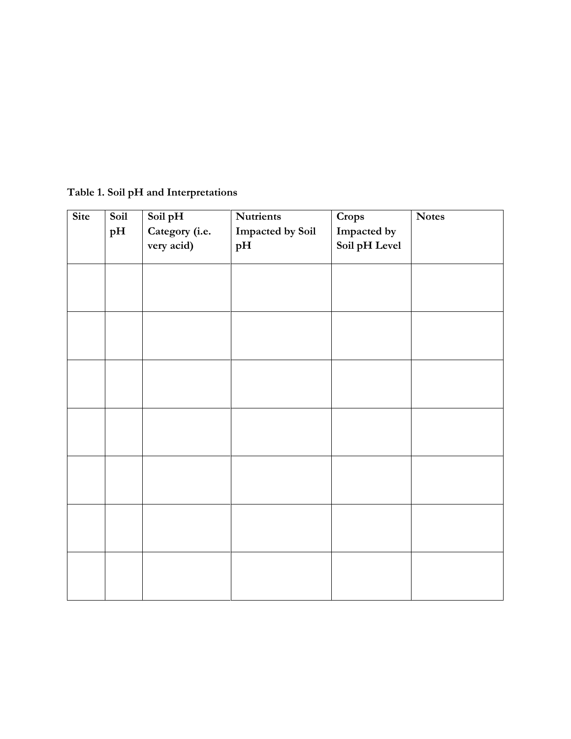|  |  | Table 1. Soil pH and Interpretations |
|--|--|--------------------------------------|
|--|--|--------------------------------------|

| Site | Soil | Soil pH        | <b>Nutrients</b> | Crops         | <b>Notes</b> |
|------|------|----------------|------------------|---------------|--------------|
|      | pH   | Category (i.e. | Impacted by Soil | Impacted by   |              |
|      |      | very acid)     | pH               | Soil pH Level |              |
|      |      |                |                  |               |              |
|      |      |                |                  |               |              |
|      |      |                |                  |               |              |
|      |      |                |                  |               |              |
|      |      |                |                  |               |              |
|      |      |                |                  |               |              |
|      |      |                |                  |               |              |
|      |      |                |                  |               |              |
|      |      |                |                  |               |              |
|      |      |                |                  |               |              |
|      |      |                |                  |               |              |
|      |      |                |                  |               |              |
|      |      |                |                  |               |              |
|      |      |                |                  |               |              |
|      |      |                |                  |               |              |
|      |      |                |                  |               |              |
|      |      |                |                  |               |              |
|      |      |                |                  |               |              |
|      |      |                |                  |               |              |
|      |      |                |                  |               |              |
|      |      |                |                  |               |              |
|      |      |                |                  |               |              |
|      |      |                |                  |               |              |
|      |      |                |                  |               |              |
|      |      |                |                  |               |              |
|      |      |                |                  |               |              |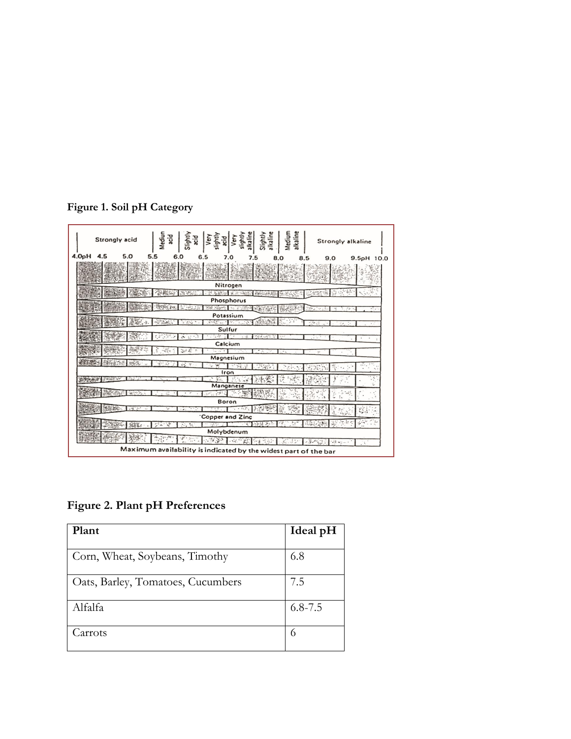| Strongly acid                                                   | Mediu<br>꾆<br>Ight<br>Very<br>Ρä<br>$\frac{1}{6}$                                   | Slightly<br>alkaline<br>light<br>Ë | Medium<br>alkaline | Strongly alkaline |
|-----------------------------------------------------------------|-------------------------------------------------------------------------------------|------------------------------------|--------------------|-------------------|
| 4.0pH 4.5<br>5.0                                                | 6<br>6<br>7.0                                                                       | 7.5<br>я                           | 9.0<br>8.5         | 9.5pH 10.0        |
|                                                                 |                                                                                     |                                    |                    |                   |
|                                                                 | Nitrogen                                                                            |                                    |                    |                   |
|                                                                 |                                                                                     | <b>CONTRACTOR</b> CONTRACTOR       |                    |                   |
|                                                                 | Phosphorus                                                                          |                                    |                    |                   |
|                                                                 |                                                                                     | AS 278                             | $\infty$<br>$\sim$ |                   |
|                                                                 | Potassium                                                                           |                                    |                    |                   |
|                                                                 | Printin<br>STAR SHOP TO SHOP<br>e est                                               |                                    | -1979              |                   |
|                                                                 | Sulfur<br>ाउँक साथि                                                                 |                                    |                    |                   |
|                                                                 |                                                                                     | $\sim$ -5.<br>やまえしょう               | $-111$             |                   |
|                                                                 | Calcium                                                                             |                                    |                    |                   |
|                                                                 | Magnesium                                                                           |                                    |                    |                   |
| Martin Ch                                                       | $\mathcal{L}_{\mathcal{S}}^{\mathcal{L},\mathcal{L}}$ , $\mathcal{L}_{\mathcal{S}}$ |                                    |                    |                   |
|                                                                 | 心実<br>Iron                                                                          | 5.56                               |                    |                   |
| Sacro Sur                                                       | V.                                                                                  |                                    |                    |                   |
|                                                                 | Manganese                                                                           |                                    |                    |                   |
| $-3.992$                                                        | $\mathbb{Z}$                                                                        |                                    |                    |                   |
|                                                                 | <b>Boron</b>                                                                        |                                    |                    |                   |
| $\mathcal{L} \mathcal{L}^{\infty}(\mathbb{R}^d)$                |                                                                                     | $. -$                              |                    |                   |
|                                                                 | Copper and Zinc                                                                     |                                    |                    | ಣ                 |
|                                                                 | 生                                                                                   | ₹                                  |                    |                   |
| Molybdenum                                                      |                                                                                     |                                    |                    |                   |
| $ik \vee j$<br>×                                                |                                                                                     |                                    |                    |                   |
| Maximum availability is indicated by the widest part of the bar |                                                                                     |                                    |                    |                   |

**Figure 1. Soil pH Category**

**Figure 2. Plant pH Preferences**

| Plant                             | Ideal pH    |
|-----------------------------------|-------------|
| Corn, Wheat, Soybeans, Timothy    | 6.8         |
| Oats, Barley, Tomatoes, Cucumbers | 7.5         |
| Alfalfa                           | $6.8 - 7.5$ |
| Carrots                           | 6           |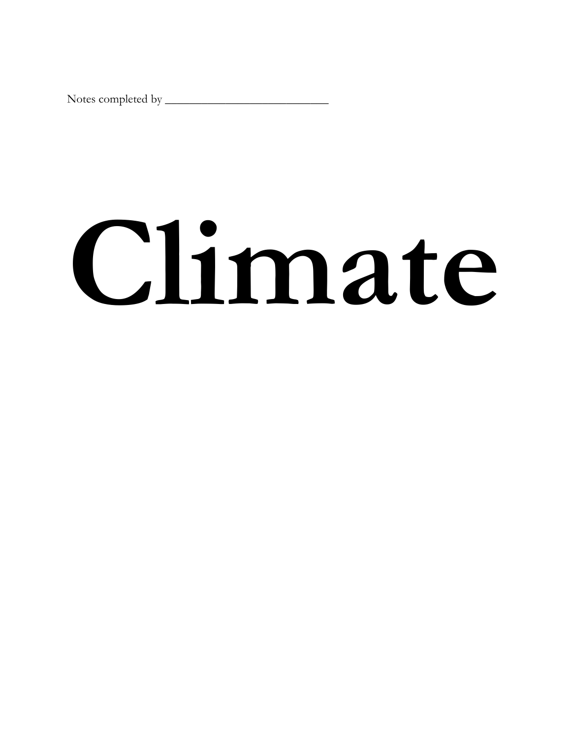Notes completed by \_\_\_\_\_\_\_\_\_\_\_\_\_\_\_\_\_\_\_\_\_\_\_\_\_\_\_

## **Climate**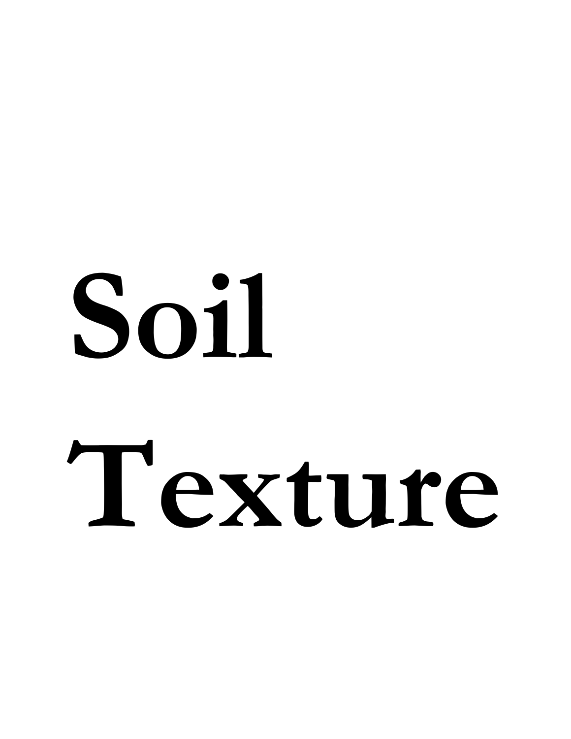## **Soil Texture**